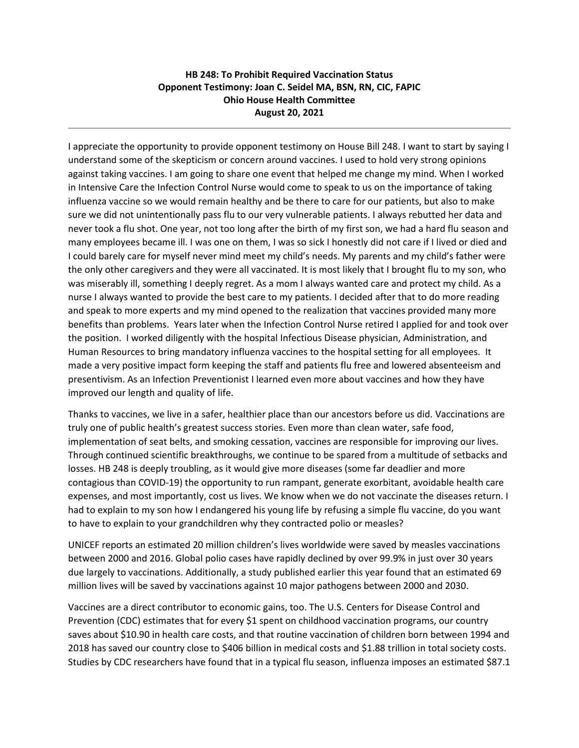## **HB 248: To Prohibit Required Vaccination Status Opponent Testimony: Joan C. Seidel MA, BSN, RN, CIC, FAPIC Ohio House Health Committee August 20, 2021**

I appreciate the opportunity to provide opponent testimony on House Bill 248. I want to start by saying I understand some of the skepticism or concern around vaccines. I used to hold very strong opinions against taking vaccines. I am going to share one event that helped me change my mind. When I worked in Intensive Care the Infection Control Nurse would come to speak to us on the importance of taking influenza vaccine so we would remain healthy and be there to care for our patients, but also to make sure we did not unintentionally pass flu to our very vulnerable patients. I always rebutted her data and never took a flu shot. One year, not too long after the birth of my first son, we had a hard flu season and many employees became ill. I was one on them, I was so sick I honestly did not care if I lived or died and I could barely care for myself never mind meet my child's needs. My parents and my child's father were the only other caregivers and they were all vaccinated. It is most likely that I brought flu to my son, who was miserably ill, something I deeply regret. As a mom I always wanted care and protect my child. As a nurse I always wanted to provide the best care to my patients. I decided after that to do more reading and speak to more experts and my mind opened to the realization that vaccines provided many more benefits than problems. Years later when the Infection Control Nurse retired I applied for and took over the position. I worked diligently with the hospital Infectious Disease physician, Administration, and Human Resources to bring mandatory influenza vaccines to the hospital setting for all employees. It made a very positive impact form keeping the staff and patients flu free and lowered absenteeism and presentivism. As an Infection Preventionist I learned even more about vaccines and how they have improved our length and quality of life.

Thanks to vaccines, we live in a safer, healthier place than our ancestors before us did. Vaccinations are truly one of public health's greatest success stories. Even more than clean water, safe food, implementation of seat belts, and smoking cessation, vaccines are responsible for improving our lives. Through continued scientific breakthroughs, we continue to be spared from a multitude of setbacks and losses. HB 248 is deeply troubling, as it would give more diseases (some far deadlier and more contagious than COVID-19) the opportunity to run rampant, generate exorbitant, avoidable health care expenses, and most importantly, cost us lives. We know when we do not vaccinate the diseases return. I had to explain to my son how I endangered his young life by refusing a simple flu vaccine, do you want to have to explain to your grandchildren why they contracted polio or measles?

UNICEF reports an estimated 20 million children's lives worldwide were saved by measles vaccinations between 2000 and 2016. Global polio cases have rapidly declined by over 99.9% in just over 30 years due largely to vaccinations. Additionally, a study published earlier this year found that an estimated 69 million lives will be saved by vaccinations against 10 major pathogens between 2000 and 2030.

Vaccines are a direct contributor to economic gains, too. The U.S. Centers for Disease Control and Prevention (CDC) estimates that for every \$1 spent on childhood vaccination programs, our country saves about \$10.90 in health care costs, and that routine vaccination of children born between 1994 and 2018 has saved our country close to \$406 billion in medical costs and \$1.88 trillion in total society costs. Studies by CDC researchers have found that in a typical flu season, influenza imposes an estimated \$87.1